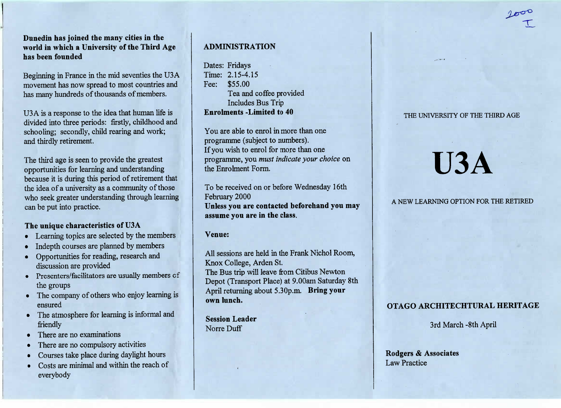**Dunedin has joined the many cities in the world in which a University of the Third Agehas been founded**

Beginning in France in the mid seventies the U3A movement has now spread to most countries andhas many hundreds of thousands of members.

U3A is a response to the idea that human life is divided into three periods: firstly, childhood and schooling; secondly, child rearing and work;and thirdly retirement.

The third age is seen to provide the greatest opportunities for learning and understanding because it is during this period of retirement that the idea of a university as a community of those who seek greater understanding through learningcan be put into practice.

### **The unique characteristics of U3A**

- Learning topics are selected by the members
- Indepth courses are planned by members
- Opportunities for reading, research anddiscussion are provided
- Presenters/facilitators are usually members cfthe groups
- • The company of others who enjoy learning isensured
- • The atmosphere for learning is informal andfriendly
- There are no examinations
- There are no compulsory activities
- Courses take place during daylight hours
- Costs are minimal and within the reach ofeverybody

### **ADMINISTRATION**

Dates: Fridays Time: 2.15-4.15Fee: \$55.00I ea and coffee provided ncludes Bus Trip **Enrolments -Limited to 40**

You are able to enrol in more than one programme (subject to numbers).If you wish to enrol for more than one programme, you *must indicate your choice* onhe Enrolment Form.

To be received on or before Wednesday 16th February 2000 **Unless you are contacted beforehand you mayassume you are in the class.**

#### **Venue:**

All sessions are held in the Frank Nichol Room, Knox College, Arden St. The Bus trip will leave from Citibus Newton Depot (Transport Place) at 9.00am Saturday 8th April returning about 5.30p.m. **Bring yourown lunch.**

**Session Leader**Norre Duff

# THE UNIVERSITY OF THE THIRD AGE

# **U3A**

## A NEW LEARNING OPTION FOR THE RETIRED

# **OTAGO ARCHITECHTURAL HERITAGE**

3rd March -8th April

**Rodgers** *&* **Associates**Law Practice